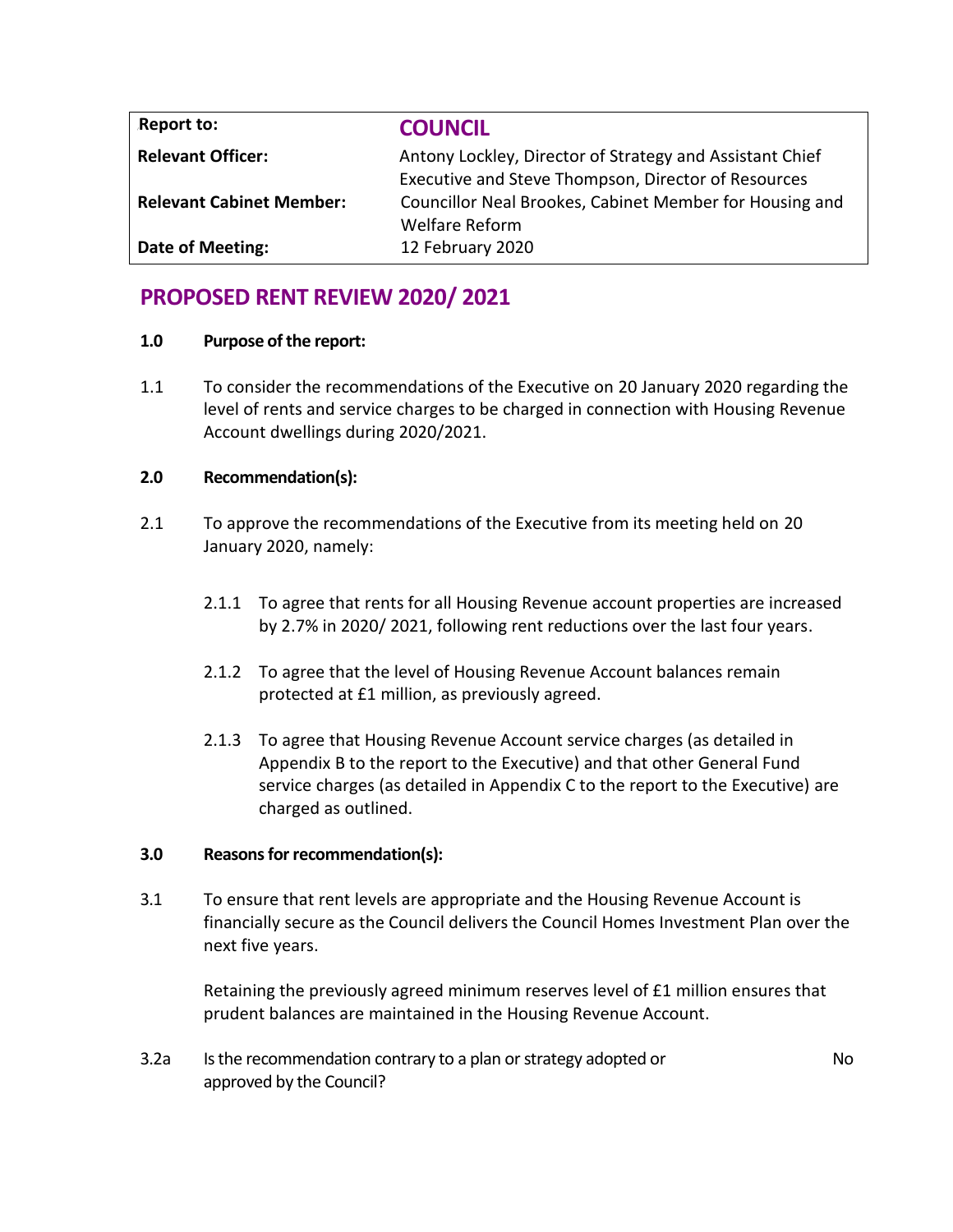| Report to:                      | <b>COUNCIL</b>                                           |
|---------------------------------|----------------------------------------------------------|
| <b>Relevant Officer:</b>        | Antony Lockley, Director of Strategy and Assistant Chief |
|                                 | Executive and Steve Thompson, Director of Resources      |
| <b>Relevant Cabinet Member:</b> | Councillor Neal Brookes, Cabinet Member for Housing and  |
|                                 | <b>Welfare Reform</b>                                    |
| Date of Meeting:                | 12 February 2020                                         |

# **PROPOSED RENT REVIEW 2020/ 2021**

### **1.0 Purpose of the report:**

1.1 To consider the recommendations of the Executive on 20 January 2020 regarding the level of rents and service charges to be charged in connection with Housing Revenue Account dwellings during 2020/2021.

## **2.0 Recommendation(s):**

- 2.1 To approve the recommendations of the Executive from its meeting held on 20 January 2020, namely:
	- 2.1.1 To agree that rents for all Housing Revenue account properties are increased by 2.7% in 2020/ 2021, following rent reductions over the last four years.
	- 2.1.2 To agree that the level of Housing Revenue Account balances remain protected at £1 million, as previously agreed.
	- 2.1.3 To agree that Housing Revenue Account service charges (as detailed in Appendix B to the report to the Executive) and that other General Fund service charges (as detailed in Appendix C to the report to the Executive) are charged as outlined.

## **3.0 Reasons for recommendation(s):**

3.1 To ensure that rent levels are appropriate and the Housing Revenue Account is financially secure as the Council delivers the Council Homes Investment Plan over the next five years.

Retaining the previously agreed minimum reserves level of £1 million ensures that prudent balances are maintained in the Housing Revenue Account.

3.2a Is the recommendation contrary to a plan or strategy adopted or approved by the Council?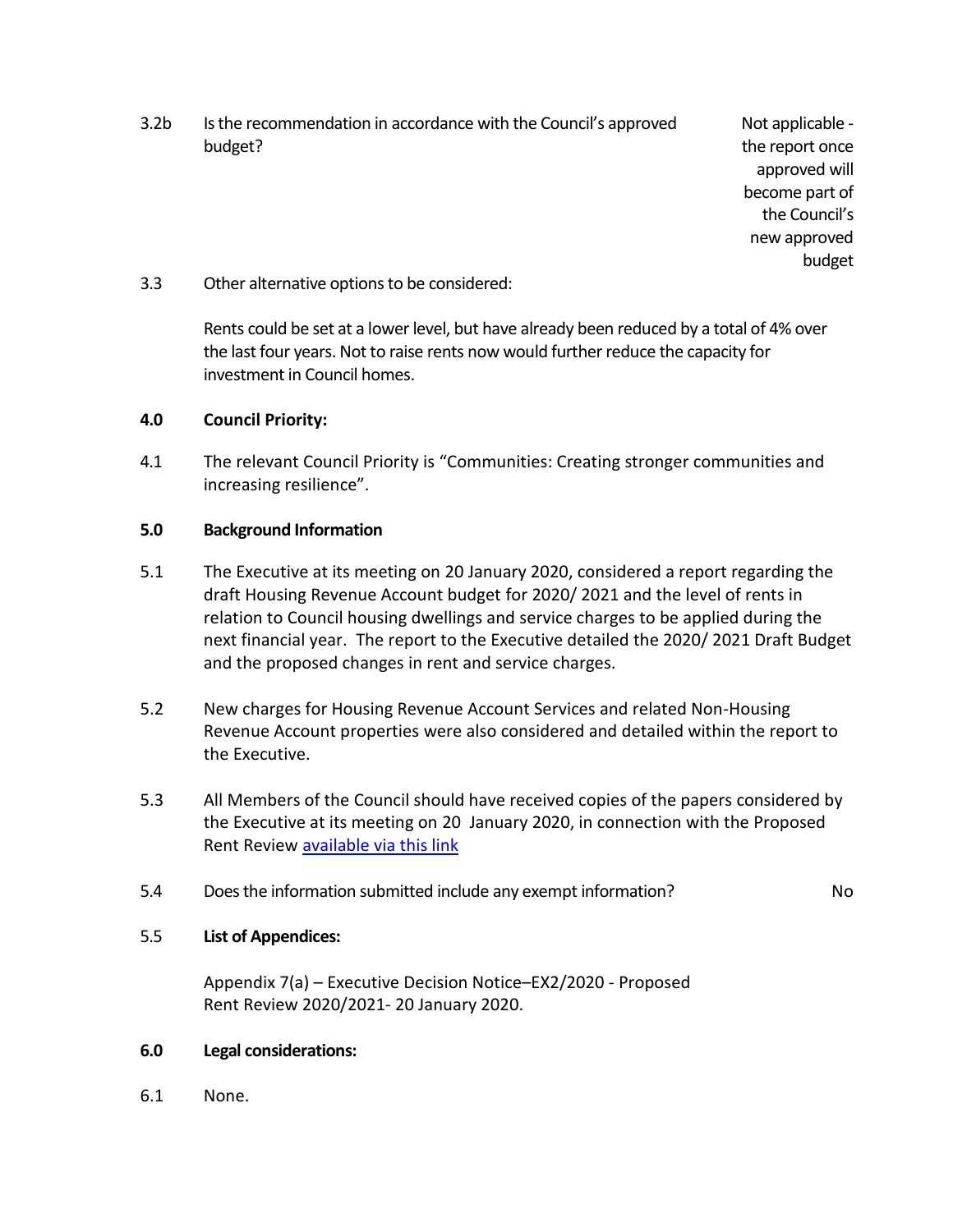3.2b Is the recommendation in accordance with the Council's approved budget?

Not applicable the report once approved will become part of the Council's new approved budget

### 3.3 Other alternative options to be considered:

Rents could be set at a lower level, but have already been reduced by a total of 4% over the last four years. Not to raise rents now would further reduce the capacity for investment in Council homes.

### **4.0 Council Priority:**

4.1 The relevant Council Priority is "Communities: Creating stronger communities and increasing resilience".

### **5.0 Background Information**

- 5.1 The Executive at its meeting on 20 January 2020, considered a report regarding the draft Housing Revenue Account budget for 2020/ 2021 and the level of rents in relation to Council housing dwellings and service charges to be applied during the next financial year. The report to the Executive detailed the 2020/ 2021 Draft Budget and the proposed changes in rent and service charges.
- 5.2 New charges for Housing Revenue Account Services and related Non-Housing Revenue Account properties were also considered and detailed within the report to the Executive.
- 5.3 All Members of the Council should have received copies of the papers considered by the Executive at its meeting on 20 January 2020, in connection with the Proposed Rent Review [available via this link](http://democracy.blackpool.gov.uk/documents/b17627/Proposed%20Rent%20Review%2020202021%2020th-Jan-2020%2018.00%20Executive.pdf?T=9)
- 5.4 Does the information submitted include any exempt information? No

### 5.5 **List of Appendices:**

Appendix 7(a) – Executive Decision Notice–EX2/2020 - Proposed Rent Review 2020/2021- 20 January 2020.

### **6.0 Legal considerations:**

6.1 None.